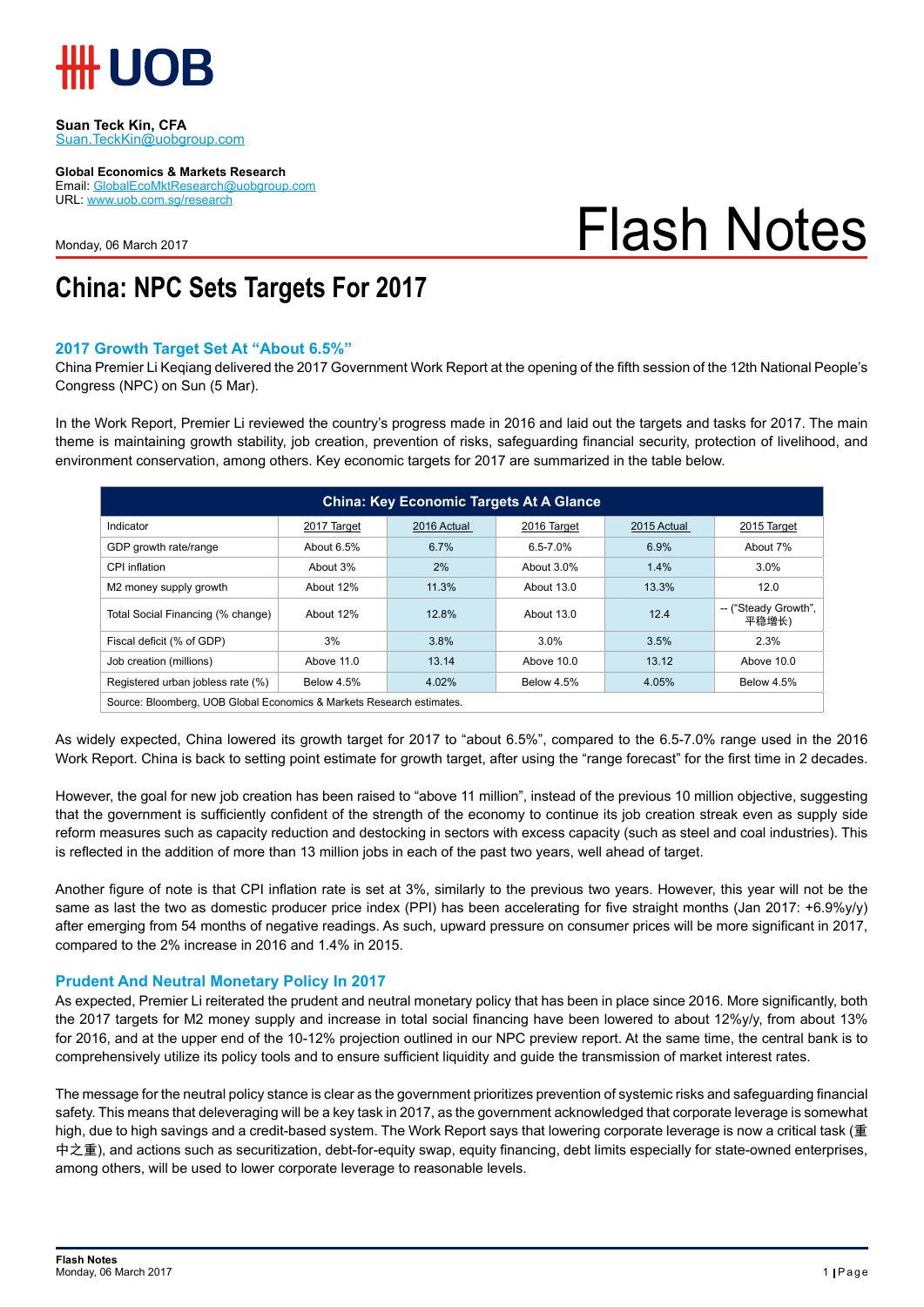

#### **Suan Teck Kin, CFA** Suan.TeckKin@uobgroup.com

**Global Economics & Markets Research**

Email: GlobalEcoMktResearch@uobgroup.com URL: www.uob.com.sg/research

Monday, 06 March 2017

# Flash Notes

## **China: NPC Sets Targets For 2017**

#### **2017 Growth Target Set At "About 6.5%"**

China Premier Li Keqiang delivered the 2017 Government Work Report at the opening of the fifth session of the 12th National People's Congress (NPC) on Sun (5 Mar).

In the Work Report, Premier Li reviewed the country's progress made in 2016 and laid out the targets and tasks for 2017. The main theme is maintaining growth stability, job creation, prevention of risks, safeguarding financial security, protection of livelihood, and environment conservation, among others. Key economic targets for 2017 are summarized in the table below.

| <b>China: Key Economic Targets At A Glance</b>                        |                   |             |                   |             |                               |
|-----------------------------------------------------------------------|-------------------|-------------|-------------------|-------------|-------------------------------|
| Indicator                                                             | 2017 Target       | 2016 Actual | 2016 Target       | 2015 Actual | 2015 Target                   |
| GDP growth rate/range                                                 | About 6.5%        | 6.7%        | $6.5 - 7.0%$      | 6.9%        | About 7%                      |
| CPI inflation                                                         | About 3%          | 2%          | About 3.0%        | 1.4%        | 3.0%                          |
| M2 money supply growth                                                | About 12%         | 11.3%       | About 13.0        | 13.3%       | 12.0                          |
| Total Social Financing (% change)                                     | About 12%         | 12.8%       | About 13.0        | 12.4        | -- ("Steady Growth",<br>平稳增长) |
| Fiscal deficit (% of GDP)                                             | 3%                | 3.8%        | 3.0%              | 3.5%        | 2.3%                          |
| Job creation (millions)                                               | Above 11.0        | 13.14       | Above 10.0        | 13.12       | Above 10.0                    |
| Registered urban jobless rate (%)                                     | <b>Below 4.5%</b> | 4.02%       | <b>Below 4.5%</b> | 4.05%       | <b>Below 4.5%</b>             |
| Source: Bloomberg, UOB Global Economics & Markets Research estimates. |                   |             |                   |             |                               |

As widely expected, China lowered its growth target for 2017 to "about 6.5%", compared to the 6.5-7.0% range used in the 2016 Work Report. China is back to setting point estimate for growth target, after using the "range forecast" for the first time in 2 decades.

However, the goal for new job creation has been raised to "above 11 million", instead of the previous 10 million objective, suggesting that the government is sufficiently confident of the strength of the economy to continue its job creation streak even as supply side reform measures such as capacity reduction and destocking in sectors with excess capacity (such as steel and coal industries). This is reflected in the addition of more than 13 million jobs in each of the past two years, well ahead of target.

Another figure of note is that CPI inflation rate is set at 3%, similarly to the previous two years. However, this year will not be the same as last the two as domestic producer price index (PPI) has been accelerating for five straight months (Jan 2017: +6.9%y/y) after emerging from 54 months of negative readings. As such, upward pressure on consumer prices will be more significant in 2017, compared to the 2% increase in 2016 and 1.4% in 2015.

### **Prudent And Neutral Monetary Policy In 2017**

As expected, Premier Li reiterated the prudent and neutral monetary policy that has been in place since 2016. More significantly, both the 2017 targets for M2 money supply and increase in total social financing have been lowered to about 12%y/y, from about 13% for 2016, and at the upper end of the 10-12% projection outlined in our NPC preview report. At the same time, the central bank is to comprehensively utilize its policy tools and to ensure sufficient liquidity and guide the transmission of market interest rates.

The message for the neutral policy stance is clear as the government prioritizes prevention of systemic risks and safeguarding financial safety. This means that deleveraging will be a key task in 2017, as the government acknowledged that corporate leverage is somewhat high, due to high savings and a credit-based system. The Work Report says that lowering corporate leverage is now a critical task (重 中之重), and actions such as securitization, debt-for-equity swap, equity financing, debt limits especially for state-owned enterprises, among others, will be used to lower corporate leverage to reasonable levels.